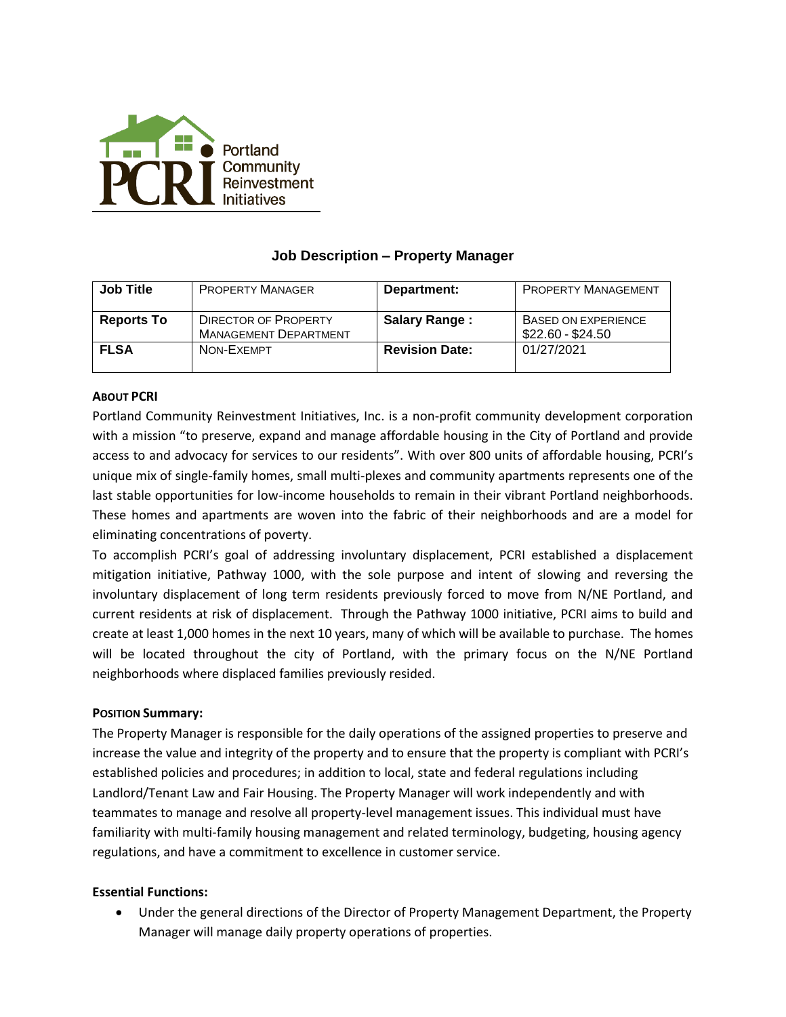

# **Job Description – Property Manager**

| <b>Job Title</b>  | <b>PROPERTY MANAGER</b>                                     | Department:           | <b>PROPERTY MANAGEMENT</b>                      |
|-------------------|-------------------------------------------------------------|-----------------------|-------------------------------------------------|
| <b>Reports To</b> | <b>DIRECTOR OF PROPERTY</b><br><b>MANAGEMENT DEPARTMENT</b> | <b>Salary Range:</b>  | <b>BASED ON EXPERIENCE</b><br>\$22.60 - \$24.50 |
| <b>FLSA</b>       | NON-EXFMPT                                                  | <b>Revision Date:</b> | 01/27/2021                                      |

# **ABOUT PCRI**

Portland Community Reinvestment Initiatives, Inc. is a non-profit community development corporation with a mission "to preserve, expand and manage affordable housing in the City of Portland and provide access to and advocacy for services to our residents". With over 800 units of affordable housing, PCRI's unique mix of single-family homes, small multi-plexes and community apartments represents one of the last stable opportunities for low-income households to remain in their vibrant Portland neighborhoods. These homes and apartments are woven into the fabric of their neighborhoods and are a model for eliminating concentrations of poverty.

To accomplish PCRI's goal of addressing involuntary displacement, PCRI established a displacement mitigation initiative, Pathway 1000, with the sole purpose and intent of slowing and reversing the involuntary displacement of long term residents previously forced to move from N/NE Portland, and current residents at risk of displacement. Through the Pathway 1000 initiative, PCRI aims to build and create at least 1,000 homes in the next 10 years, many of which will be available to purchase. The homes will be located throughout the city of Portland, with the primary focus on the N/NE Portland neighborhoods where displaced families previously resided.

# **POSITION Summary:**

The Property Manager is responsible for the daily operations of the assigned properties to preserve and increase the value and integrity of the property and to ensure that the property is compliant with PCRI's established policies and procedures; in addition to local, state and federal regulations including Landlord/Tenant Law and Fair Housing. The Property Manager will work independently and with teammates to manage and resolve all property-level management issues. This individual must have familiarity with multi-family housing management and related terminology, budgeting, housing agency regulations, and have a commitment to excellence in customer service.

# **Essential Functions:**

• Under the general directions of the Director of Property Management Department, the Property Manager will manage daily property operations of properties.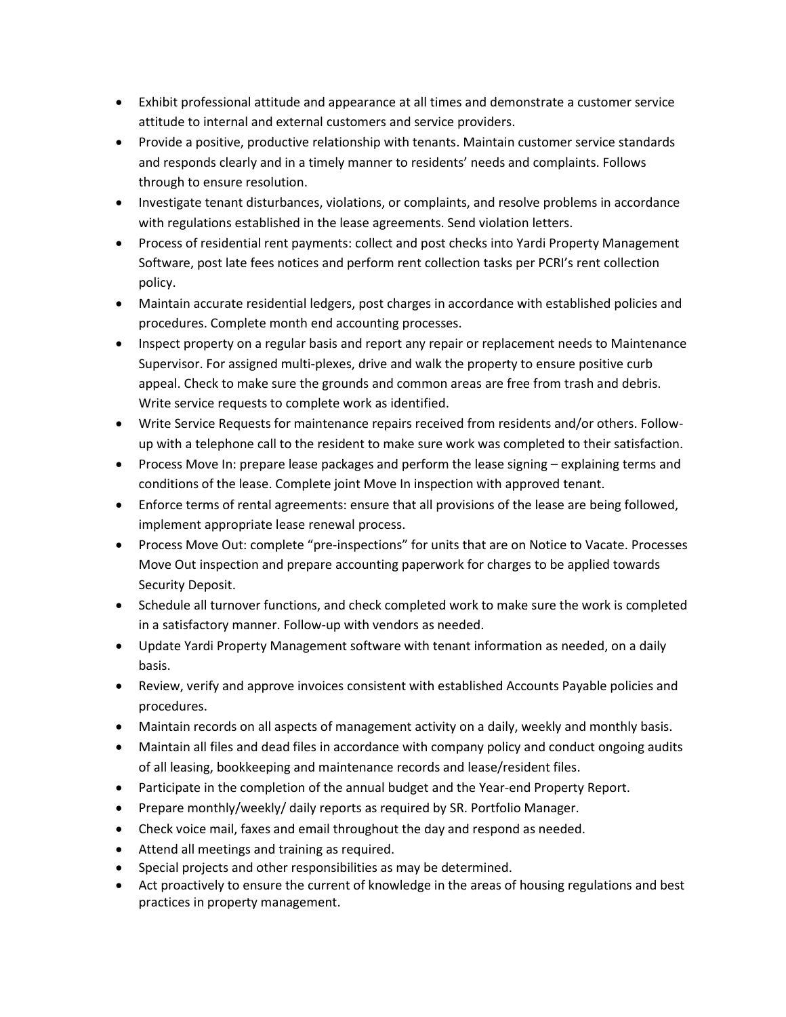- Exhibit professional attitude and appearance at all times and demonstrate a customer service attitude to internal and external customers and service providers.
- Provide a positive, productive relationship with tenants. Maintain customer service standards and responds clearly and in a timely manner to residents' needs and complaints. Follows through to ensure resolution.
- Investigate tenant disturbances, violations, or complaints, and resolve problems in accordance with regulations established in the lease agreements. Send violation letters.
- Process of residential rent payments: collect and post checks into Yardi Property Management Software, post late fees notices and perform rent collection tasks per PCRI's rent collection policy.
- Maintain accurate residential ledgers, post charges in accordance with established policies and procedures. Complete month end accounting processes.
- Inspect property on a regular basis and report any repair or replacement needs to Maintenance Supervisor. For assigned multi-plexes, drive and walk the property to ensure positive curb appeal. Check to make sure the grounds and common areas are free from trash and debris. Write service requests to complete work as identified.
- Write Service Requests for maintenance repairs received from residents and/or others. Followup with a telephone call to the resident to make sure work was completed to their satisfaction.
- Process Move In: prepare lease packages and perform the lease signing explaining terms and conditions of the lease. Complete joint Move In inspection with approved tenant.
- Enforce terms of rental agreements: ensure that all provisions of the lease are being followed, implement appropriate lease renewal process.
- Process Move Out: complete "pre-inspections" for units that are on Notice to Vacate. Processes Move Out inspection and prepare accounting paperwork for charges to be applied towards Security Deposit.
- Schedule all turnover functions, and check completed work to make sure the work is completed in a satisfactory manner. Follow-up with vendors as needed.
- Update Yardi Property Management software with tenant information as needed, on a daily basis.
- Review, verify and approve invoices consistent with established Accounts Payable policies and procedures.
- Maintain records on all aspects of management activity on a daily, weekly and monthly basis.
- Maintain all files and dead files in accordance with company policy and conduct ongoing audits of all leasing, bookkeeping and maintenance records and lease/resident files.
- Participate in the completion of the annual budget and the Year-end Property Report.
- Prepare monthly/weekly/ daily reports as required by SR. Portfolio Manager.
- Check voice mail, faxes and email throughout the day and respond as needed.
- Attend all meetings and training as required.
- Special projects and other responsibilities as may be determined.
- Act proactively to ensure the current of knowledge in the areas of housing regulations and best practices in property management.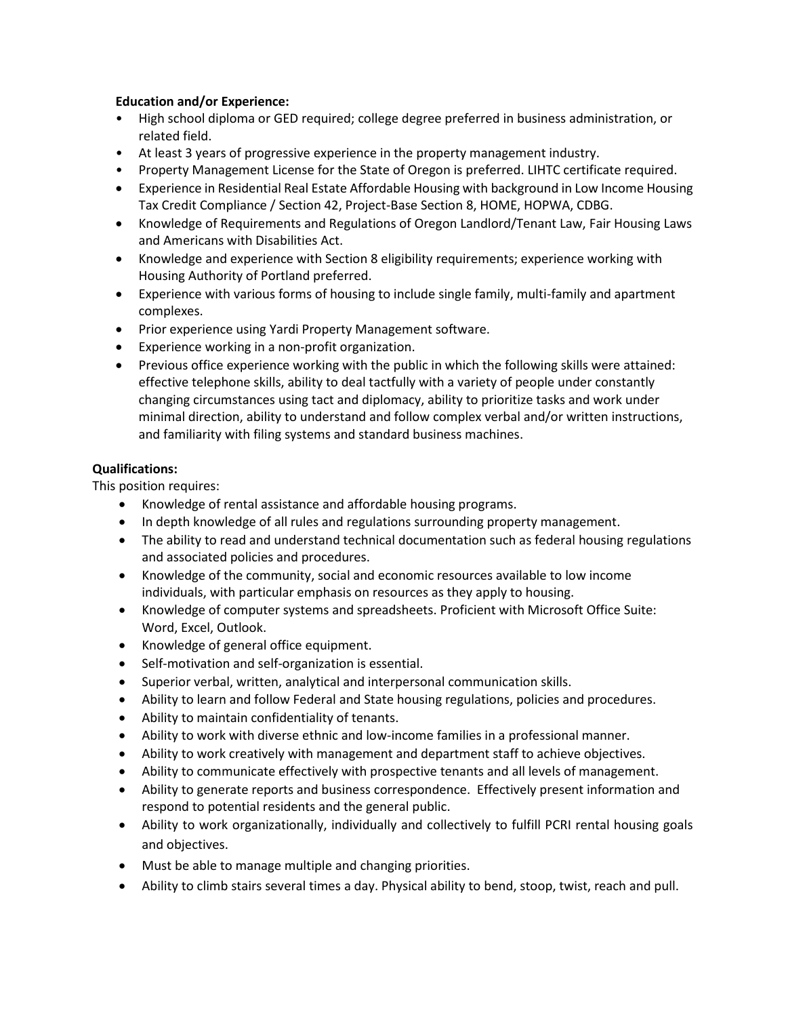# **Education and/or Experience:**

- High school diploma or GED required; college degree preferred in business administration, or related field.
- At least 3 years of progressive experience in the property management industry.
- Property Management License for the State of Oregon is preferred. LIHTC certificate required.
- Experience in Residential Real Estate Affordable Housing with background in Low Income Housing Tax Credit Compliance / Section 42, Project-Base Section 8, HOME, HOPWA, CDBG.
- Knowledge of Requirements and Regulations of Oregon Landlord/Tenant Law, Fair Housing Laws and Americans with Disabilities Act.
- Knowledge and experience with Section 8 eligibility requirements; experience working with Housing Authority of Portland preferred.
- Experience with various forms of housing to include single family, multi-family and apartment complexes.
- Prior experience using Yardi Property Management software.
- Experience working in a non-profit organization.
- Previous office experience working with the public in which the following skills were attained: effective telephone skills, ability to deal tactfully with a variety of people under constantly changing circumstances using tact and diplomacy, ability to prioritize tasks and work under minimal direction, ability to understand and follow complex verbal and/or written instructions, and familiarity with filing systems and standard business machines.

# **Qualifications:**

This position requires:

- Knowledge of rental assistance and affordable housing programs.
- In depth knowledge of all rules and regulations surrounding property management.
- The ability to read and understand technical documentation such as federal housing regulations and associated policies and procedures.
- Knowledge of the community, social and economic resources available to low income individuals, with particular emphasis on resources as they apply to housing.
- Knowledge of computer systems and spreadsheets. Proficient with Microsoft Office Suite: Word, Excel, Outlook.
- Knowledge of general office equipment.
- Self-motivation and self-organization is essential.
- Superior verbal, written, analytical and interpersonal communication skills.
- Ability to learn and follow Federal and State housing regulations, policies and procedures.
- Ability to maintain confidentiality of tenants.
- Ability to work with diverse ethnic and low-income families in a professional manner.
- Ability to work creatively with management and department staff to achieve objectives.
- Ability to communicate effectively with prospective tenants and all levels of management.
- Ability to generate reports and business correspondence. Effectively present information and respond to potential residents and the general public.
- Ability to work organizationally, individually and collectively to fulfill PCRI rental housing goals and objectives.
- Must be able to manage multiple and changing priorities.
- Ability to climb stairs several times a day. Physical ability to bend, stoop, twist, reach and pull.